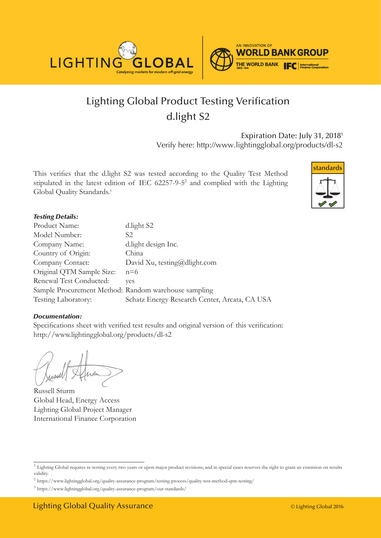

# Lighting Global Product Testing Verification d.light S2

Expiration Date: July 31, 20181 Verify here: http://www.lightingglobal.org/products/dl-s2

This verifies that the d.light S2 was tested according to the Quality Test Method stipulated in the latest edition of IEC 62257-9-52 and complied with the Lighting Global Quality Standards.<sup>3</sup>



### *Testing Details:*

| Product Name:                                        | d.light S2                                    |
|------------------------------------------------------|-----------------------------------------------|
| Model Number:                                        | S2.                                           |
| Company Name:                                        | d.light design Inc.                           |
| Country of Origin:                                   | China                                         |
| Company Contact:                                     | David Xu, testing@dlight.com                  |
| Original QTM Sample Size:                            | $n=6$                                         |
| Renewal Test Conducted:                              | ves                                           |
| Sample Procurement Method: Random warehouse sampling |                                               |
| Testing Laboratory:                                  | Schatz Energy Research Center, Arcata, CA USA |

#### *Documentation:*

Specifications sheet with verified test results and original version of this verification: http://www.lightingglobal.org/products/dl-s2

Russell Sturm Global Head, Energy Access Lighting Global Project Manager International Finance Corporation

<sup>&</sup>lt;sup>1</sup> Lighting Global requires re-testing every two years or upon major product revisions, and in special cases reserves the right to grant an extension on results validity.

 $2$  https://www.lightingglobal.org/quality-assurance-program/testing-process/quality-test-method-qtm-testing/

<sup>3</sup> https://www.lightingglobal.org/quality-assurance-program/our-standards/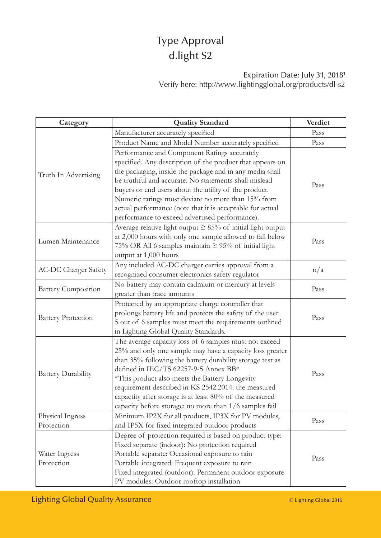# Type Approval d.light S2

### Expiration Date: July 31, 20181 Verify here: http://www.lightingglobal.org/products/dl-s2

| Category                    | <b>Quality Standard</b>                                           | Verdict |
|-----------------------------|-------------------------------------------------------------------|---------|
| Truth In Advertising        | Manufacturer accurately specified                                 | Pass    |
|                             | Product Name and Model Number accurately specified                | Pass    |
|                             | Performance and Component Ratings accurately                      |         |
|                             | specified. Any description of the product that appears on         |         |
|                             | the packaging, inside the package and in any media shall          |         |
|                             | be truthful and accurate. No statements shall mislead             | Pass    |
|                             | buyers or end users about the utility of the product.             |         |
|                             | Numeric ratings must deviate no more than 15% from                |         |
|                             | actual performance (note that it is acceptable for actual         |         |
|                             | performance to exceed advertised performance).                    |         |
|                             | Average relative light output $\geq 85\%$ of initial light output |         |
| Lumen Maintenance           | at 2,000 hours with only one sample allowed to fall below         | Pass    |
|                             | 75% OR All 6 samples maintain ≥ 95% of initial light              |         |
|                             | output at 1,000 hours                                             |         |
|                             | Any included AC-DC charger carries approval from a                |         |
| <b>AC-DC Charger Safety</b> | recognized consumer electronics safety regulator                  | n/a     |
|                             | No battery may contain cadmium or mercury at levels               | Pass    |
| <b>Battery Composition</b>  | greater than trace amounts                                        |         |
|                             | Protected by an appropriate charge controller that                |         |
|                             | prolongs battery life and protects the safety of the user.        |         |
| <b>Battery Protection</b>   | 5 out of 6 samples must meet the requirements outlined            | Pass    |
|                             | in Lighting Global Quality Standards.                             |         |
|                             | The average capacity loss of 6 samples must not exceed            | Pass    |
|                             | 25% and only one sample may have a capacity loss greater          |         |
| <b>Battery Durability</b>   | than 35% following the battery durability storage test as         |         |
|                             | defined in IEC/TS 62257-9-5 Annex BB*                             |         |
|                             | *This product also meets the Battery Longevity                    |         |
|                             | requirement described in KS 2542:2014: the measured               |         |
|                             | capactity after storage is at least 80% of the measured           |         |
|                             | capacity before storage; no more than 1/6 samples fail            |         |
| Physical Ingress            | Minimum IP2X for all products, IP3X for PV modules,               | Pass    |
| Protection                  | and IP5X for fixed integrated outdoor products                    |         |
|                             | Degree of protection required is based on product type:           | Pass    |
|                             | Fixed separate (indoor): No protection required                   |         |
| Water Ingress               | Portable separate: Occasional exposure to rain                    |         |
| Protection                  | Portable integrated: Frequent exposure to rain                    |         |
|                             | Fixed integrated (outdoor): Permanent outdoor exposure            |         |
|                             | PV modules: Outdoor rooftop installation                          |         |